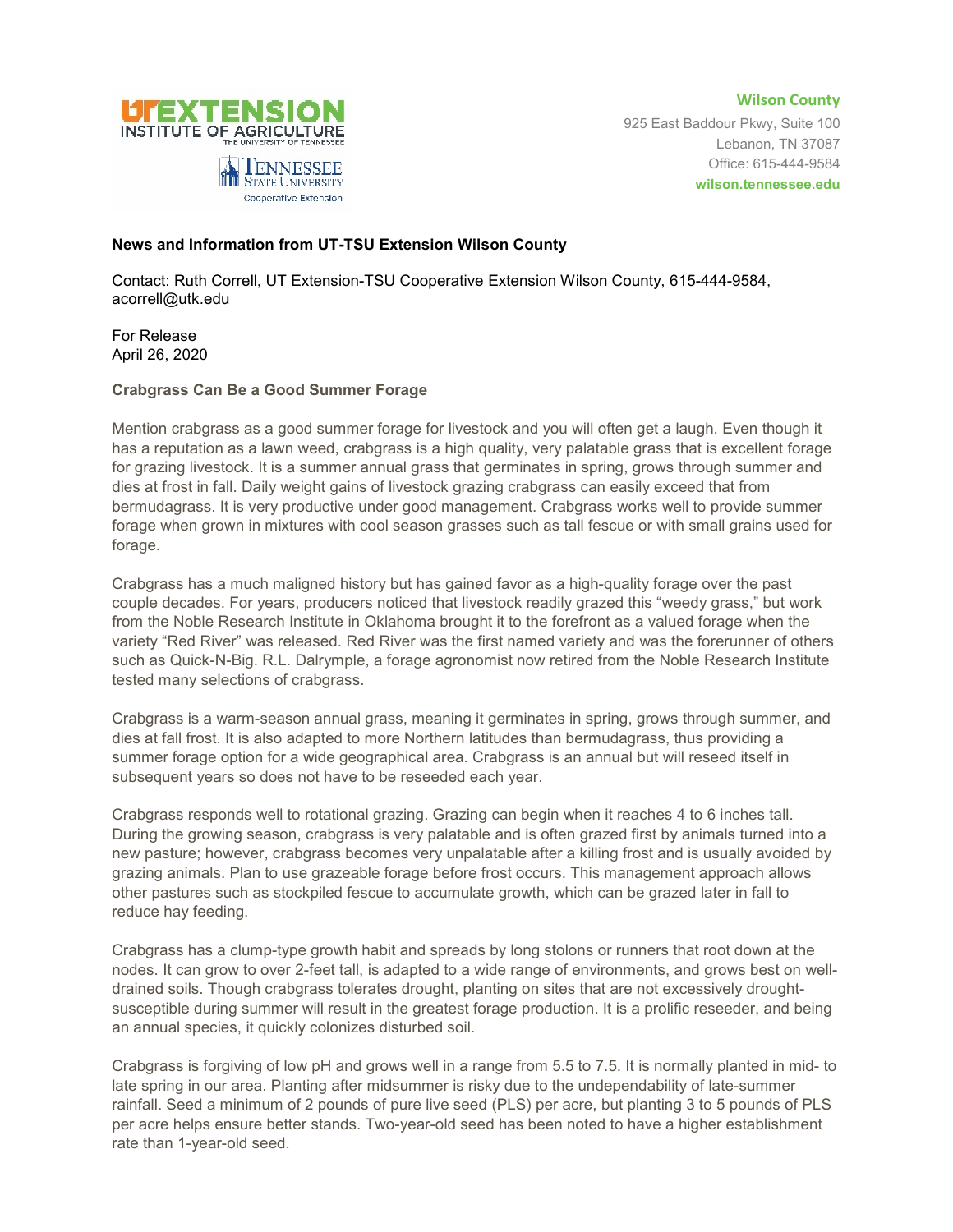

**Wilson County** 925 East Baddour Pkwy, Suite 100 Lebanon, TN 37087 Office: 615-444-9584 **wilson.tennessee.edu**

## **News and Information from UT-TSU Extension Wilson County**

Cooperative Extension

Contact: Ruth Correll, UT Extension-TSU Cooperative Extension Wilson County, 615-444-9584, acorrell@utk.edu

For Release April 26, 2020

## **Crabgrass Can Be a Good Summer Forage**

Mention crabgrass as a good summer forage for livestock and you will often get a laugh. Even though it has a reputation as a lawn weed, crabgrass is a high quality, very palatable grass that is excellent forage for grazing livestock. It is a summer annual grass that germinates in spring, grows through summer and dies at frost in fall. Daily weight gains of livestock grazing crabgrass can easily exceed that from bermudagrass. It is very productive under good management. Crabgrass works well to provide summer forage when grown in mixtures with cool season grasses such as tall fescue or with small grains used for forage.

Crabgrass has a much maligned history but has gained favor as a high-quality forage over the past couple decades. For years, producers noticed that livestock readily grazed this "weedy grass," but work from the Noble Research Institute in Oklahoma brought it to the forefront as a valued forage when the variety "Red River" was released. Red River was the first named variety and was the forerunner of others such as Quick-N-Big. R.L. Dalrymple, a forage agronomist now retired from the Noble Research Institute tested many selections of crabgrass.

Crabgrass is a warm-season annual grass, meaning it germinates in spring, grows through summer, and dies at fall frost. It is also adapted to more Northern latitudes than bermudagrass, thus providing a summer forage option for a wide geographical area. Crabgrass is an annual but will reseed itself in subsequent years so does not have to be reseeded each year.

Crabgrass responds well to rotational grazing. Grazing can begin when it reaches 4 to 6 inches tall. During the growing season, crabgrass is very palatable and is often grazed first by animals turned into a new pasture; however, crabgrass becomes very unpalatable after a killing frost and is usually avoided by grazing animals. Plan to use grazeable forage before frost occurs. This management approach allows other pastures such as stockpiled fescue to accumulate growth, which can be grazed later in fall to reduce hay feeding.

Crabgrass has a clump-type growth habit and spreads by long stolons or runners that root down at the nodes. It can grow to over 2-feet tall, is adapted to a wide range of environments, and grows best on welldrained soils. Though crabgrass tolerates drought, planting on sites that are not excessively droughtsusceptible during summer will result in the greatest forage production. It is a prolific reseeder, and being an annual species, it quickly colonizes disturbed soil.

Crabgrass is forgiving of low pH and grows well in a range from 5.5 to 7.5. It is normally planted in mid- to late spring in our area. Planting after midsummer is risky due to the undependability of late-summer rainfall. Seed a minimum of 2 pounds of pure live seed (PLS) per acre, but planting 3 to 5 pounds of PLS per acre helps ensure better stands. Two-year-old seed has been noted to have a higher establishment rate than 1-year-old seed.